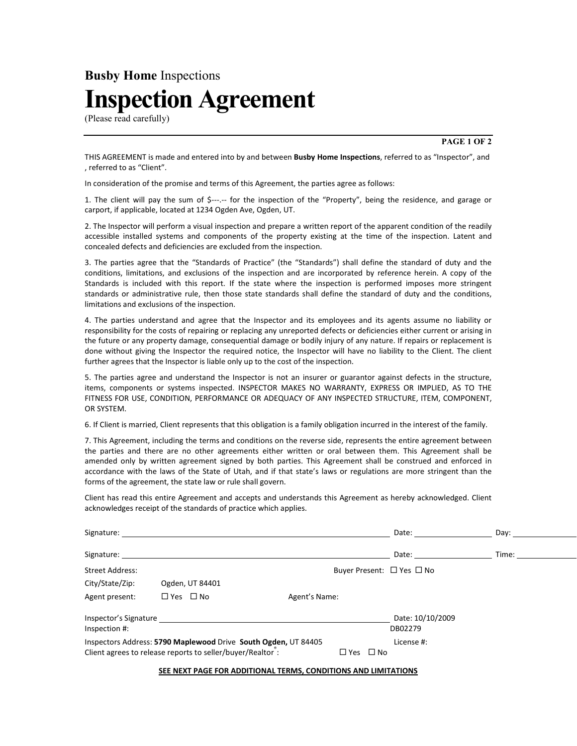## Busby Home Inspections Inspection Agreement

(Please read carefully)

PAGE 1 OF 2

THIS AGREEMENT is made and entered into by and between **Busby Home Inspections**, referred to as "Inspector", and , referred to as "Client".

In consideration of the promise and terms of this Agreement, the parties agree as follows:

1. The client will pay the sum of \$---.-- for the inspection of the "Property", being the residence, and garage or carport, if applicable, located at 1234 Ogden Ave, Ogden, UT.

2. The Inspector will perform a visual inspection and prepare a written report of the apparent condition of the readily accessible installed systems and components of the property existing at the time of the inspection. Latent and concealed defects and deficiencies are excluded from the inspection.

3. The parties agree that the "Standards of Practice" (the "Standards") shall define the standard of duty and the conditions, limitations, and exclusions of the inspection and are incorporated by reference herein. A copy of the Standards is included with this report. If the state where the inspection is performed imposes more stringent standards or administrative rule, then those state standards shall define the standard of duty and the conditions, limitations and exclusions of the inspection.

4. The parties understand and agree that the Inspector and its employees and its agents assume no liability or responsibility for the costs of repairing or replacing any unreported defects or deficiencies either current or arising in the future or any property damage, consequential damage or bodily injury of any nature. If repairs or replacement is done without giving the Inspector the required notice, the Inspector will have no liability to the Client. The client further agrees that the Inspector is liable only up to the cost of the inspection.

5. The parties agree and understand the Inspector is not an insurer or guarantor against defects in the structure, items, components or systems inspected. INSPECTOR MAKES NO WARRANTY, EXPRESS OR IMPLIED, AS TO THE FITNESS FOR USE, CONDITION, PERFORMANCE OR ADEQUACY OF ANY INSPECTED STRUCTURE, ITEM, COMPONENT, OR SYSTEM.

6. If Client is married, Client represents that this obligation is a family obligation incurred in the interest of the family.

7. This Agreement, including the terms and conditions on the reverse side, represents the entire agreement between the parties and there are no other agreements either written or oral between them. This Agreement shall be amended only by written agreement signed by both parties. This Agreement shall be construed and enforced in accordance with the laws of the State of Utah, and if that state's laws or regulations are more stringent than the forms of the agreement, the state law or rule shall govern.

Client has read this entire Agreement and accepts and understands this Agreement as hereby acknowledged. Client acknowledges receipt of the standards of practice which applies.

| Signature:                                                                                                                                                            |                      |                               | Date:                                     | Dav:  |  |
|-----------------------------------------------------------------------------------------------------------------------------------------------------------------------|----------------------|-------------------------------|-------------------------------------------|-------|--|
| Signature:                                                                                                                                                            |                      |                               | Date:                                     | Time: |  |
| <b>Street Address:</b>                                                                                                                                                |                      |                               | Buyer Present: $\Box$ Yes $\Box$ No       |       |  |
| City/State/Zip:                                                                                                                                                       | Ogden, UT 84401      |                               |                                           |       |  |
| Agent present:                                                                                                                                                        | $\Box$ Yes $\Box$ No | Agent's Name:                 |                                           |       |  |
| Inspector's Signature<br>Inspection #:<br>Inspectors Address: 5790 Maplewood Drive South Ogden, UT 84405<br>Client agrees to release reports to seller/buyer/Realtor: |                      | $\square$ No<br>$\square$ Yes | Date: 10/10/2009<br>DB02279<br>License #: |       |  |

SEE NEXT PAGE FOR ADDITIONAL TERMS, CONDITIONS AND LIMITATIONS